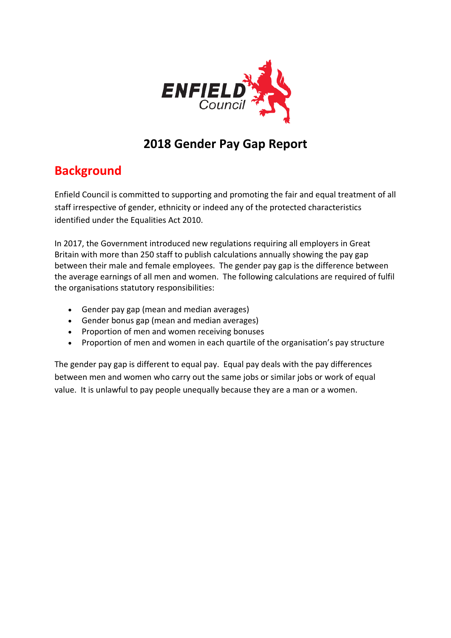

# **2018 Gender Pay Gap Report**

# **Background**

Enfield Council is committed to supporting and promoting the fair and equal treatment of all staff irrespective of gender, ethnicity or indeed any of the protected characteristics identified under the Equalities Act 2010.

In 2017, the Government introduced new regulations requiring all employers in Great Britain with more than 250 staff to publish calculations annually showing the pay gap between their male and female employees. The gender pay gap is the difference between the average earnings of all men and women. The following calculations are required of fulfil the organisations statutory responsibilities:

- Gender pay gap (mean and median averages)
- Gender bonus gap (mean and median averages)
- Proportion of men and women receiving bonuses
- Proportion of men and women in each quartile of the organisation's pay structure

The gender pay gap is different to equal pay. Equal pay deals with the pay differences between men and women who carry out the same jobs or similar jobs or work of equal value. It is unlawful to pay people unequally because they are a man or a women.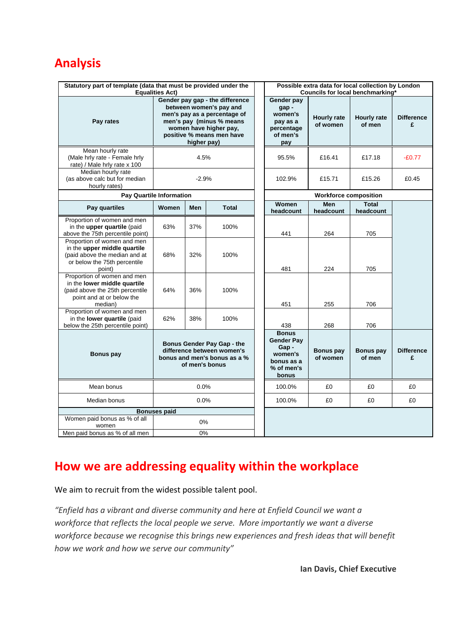# **Analysis**

| Statutory part of template (data that must be provided under the<br><b>Equalities Act)</b>                                             |                                                                                                                                                                                              |     |              |  | Possible extra data for local collection by London<br>Councils for local benchmarking*    |                                |                              |                        |
|----------------------------------------------------------------------------------------------------------------------------------------|----------------------------------------------------------------------------------------------------------------------------------------------------------------------------------------------|-----|--------------|--|-------------------------------------------------------------------------------------------|--------------------------------|------------------------------|------------------------|
| Pay rates                                                                                                                              | Gender pay gap - the difference<br>between women's pay and<br>men's pay as a percentage of<br>men's pay (minus % means<br>women have higher pay,<br>positive % means men have<br>higher pay) |     |              |  | Gender pay<br>gap-<br>women's<br>pay as a<br>percentage<br>of men's<br>pay                | <b>Hourly rate</b><br>of women | <b>Hourly rate</b><br>of men | <b>Difference</b><br>£ |
| Mean hourly rate<br>(Male hrly rate - Female hrly<br>rate) / Male hrly rate x 100                                                      | 4.5%                                                                                                                                                                                         |     |              |  | 95.5%                                                                                     | £16.41                         | £17.18                       | $-£0.77$               |
| Median hourly rate<br>(as above calc but for median<br>hourly rates)                                                                   | $-2.9%$                                                                                                                                                                                      |     |              |  | 102.9%                                                                                    | £15.71                         | £15.26                       | £0.45                  |
| <b>Pay Quartile Information</b>                                                                                                        |                                                                                                                                                                                              |     |              |  | <b>Workforce composition</b>                                                              |                                |                              |                        |
| Pay quartiles                                                                                                                          | Women                                                                                                                                                                                        | Men | <b>Total</b> |  | Women<br>headcount                                                                        | <b>Men</b><br>headcount        | <b>Total</b><br>headcount    |                        |
| Proportion of women and men<br>in the upper quartile (paid<br>above the 75th percentile point)                                         | 63%                                                                                                                                                                                          | 37% | 100%         |  | 441                                                                                       | 264                            | 705                          |                        |
| Proportion of women and men<br>in the upper middle quartile<br>(paid above the median and at<br>or below the 75th percentile<br>point) | 68%                                                                                                                                                                                          | 32% | 100%         |  | 481                                                                                       | 224                            | 705                          |                        |
| Proportion of women and men<br>in the lower middle quartile<br>(paid above the 25th percentile<br>point and at or below the<br>median) | 64%                                                                                                                                                                                          | 36% | 100%         |  | 451                                                                                       | 255                            | 706                          |                        |
| Proportion of women and men<br>in the lower quartile (paid<br>below the 25th percentile point)                                         | 62%                                                                                                                                                                                          | 38% | 100%         |  | 438                                                                                       | 268                            | 706                          |                        |
| <b>Bonus pay</b>                                                                                                                       | Bonus Gender Pay Gap - the<br>difference between women's<br>bonus and men's bonus as a %<br>of men's bonus                                                                                   |     |              |  | <b>Bonus</b><br><b>Gender Pay</b><br>Gap-<br>women's<br>bonus as a<br>% of men's<br>bonus | <b>Bonus pay</b><br>of women   | <b>Bonus pay</b><br>of men   | <b>Difference</b><br>£ |
| Mean bonus                                                                                                                             | 0.0%                                                                                                                                                                                         |     |              |  | 100.0%                                                                                    | £0                             | £0                           | £0                     |
| Median bonus                                                                                                                           | 0.0%                                                                                                                                                                                         |     |              |  | 100.0%                                                                                    | £0                             | £0                           | £0                     |
| <b>Bonuses paid</b>                                                                                                                    |                                                                                                                                                                                              |     |              |  |                                                                                           |                                |                              |                        |
| Women paid bonus as % of all<br>women                                                                                                  | 0%                                                                                                                                                                                           |     |              |  |                                                                                           |                                |                              |                        |
| Men paid bonus as % of all men                                                                                                         |                                                                                                                                                                                              | 0%  |              |  |                                                                                           |                                |                              |                        |

# **How we are addressing equality within the workplace**

We aim to recruit from the widest possible talent pool.

*"Enfield has a vibrant and diverse community and here at Enfield Council we want a workforce that reflects the local people we serve. More importantly we want a diverse workforce because we recognise this brings new experiences and fresh ideas that will benefit how we work and how we serve our community"*

**Ian Davis, Chief Executive**